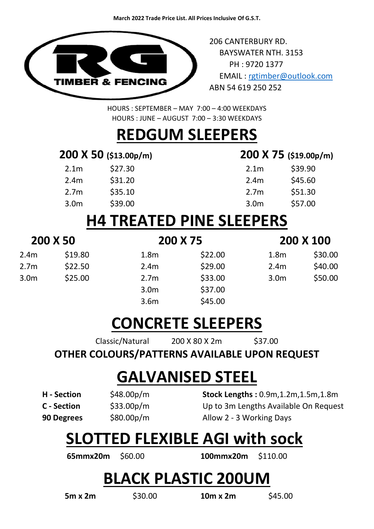

206 CANTERBURY RD. BAYSWATER NTH. 3153 PH : 9720 1377 EMAIL : [rgtimber@outlook.com](mailto:rgtimber@outlook.com)  ABN 54 619 250 252

HOURS : SEPTEMBER – MAY 7:00 – 4:00 WEEKDAYS HOURS : JUNE – AUGUST 7:00 – 3:30 WEEKDAYS

#### **REDGUM SLEEPERS**

#### **200 X 50 (\$13.00p/m) 200 X 75 (\$19.00p/m)**

| 2.1 <sub>m</sub> | \$27.30 | 2.1 <sub>m</sub> | \$39.90 |
|------------------|---------|------------------|---------|
| 2.4 <sub>m</sub> | \$31.20 | 2.4 <sub>m</sub> | \$45.60 |
| 2.7 <sub>m</sub> | \$35.10 | 2.7 <sub>m</sub> | \$51.30 |
| 3.0 <sub>m</sub> | \$39.00 | 3.0 <sub>m</sub> | \$57.00 |
|                  |         |                  |         |

|                  | 200 X 75 (\$19.00p/n |
|------------------|----------------------|
| 2.1 <sub>m</sub> | \$39.90              |
| 2.4 <sub>m</sub> | \$45.60              |
| 2.7 <sub>m</sub> | \$51.30              |
| 3.0 <sub>m</sub> | \$57.00              |

#### **H4 TREATED PINE SLEEPERS**

| 200 X 50         |         | 200 X 75         |         | 200 X 100        |         |
|------------------|---------|------------------|---------|------------------|---------|
| 2.4m             | \$19.80 | 1.8 <sub>m</sub> | \$22.00 | 1.8 <sub>m</sub> | \$30.00 |
| 2.7 <sub>m</sub> | \$22.50 | 2.4m             | \$29.00 | 2.4m             | \$40.00 |
| 3.0 <sub>m</sub> | \$25.00 | 2.7 <sub>m</sub> | \$33.00 | 3.0m             | \$50.00 |
|                  |         | 3.0 <sub>m</sub> | \$37.00 |                  |         |
|                  |         | 3.6m             | \$45.00 |                  |         |

#### **CONCRETE SLEEPERS**

Classic/Natural 200 X 80 X 2m \$37.00

#### **OTHER COLOURS/PATTERNS AVAILABLE UPON REQUEST**

#### **GALVANISED STEEL**

**H - Section** \$48.00p/m **Stock Lengths :** 0.9m,1.2m,1.5m,1.8m **C - Section** \$33.00p/m Up to 3m Lengths Available On Request **90 Degrees** \$80.00p/m Allow 2 - 3 Working Days

#### **SLOTTED FLEXIBLE AGI with sock**

**65mmx20m** \$60.00 **100mmx20m** \$110.00

#### **BLACK PLASTIC 200UM**

**5m x 2m** \$30.00 **10m x 2m** \$45.00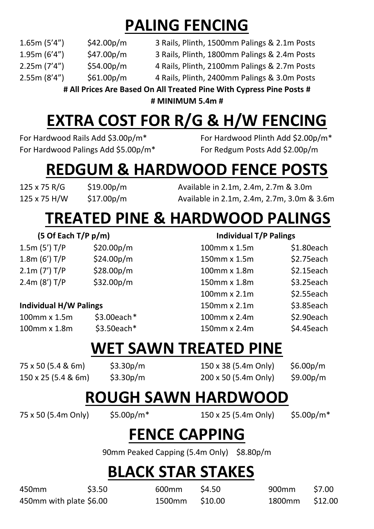# **PALING FENCING**

- 1.65m (5'4") \$42.00p/m 3 Rails, Plinth, 1500mm Palings & 2.1m Posts
- 
- 2.25m (7'4") \$54.00p/m 4 Rails, Plinth, 2100mm Palings & 2.7m Posts

1.95m (6'4") \$47.00p/m 3 Rails, Plinth, 1800mm Palings & 2.4m Posts

2.55m (8'4") \$61.00p/m 4 Rails, Plinth, 2400mm Palings & 3.0m Posts

**# All Prices Are Based On All Treated Pine With Cypress Pine Posts # # MINIMUM 5.4m #**

# **EXTRA COST FOR R/G & H/W FENCING**

For Hardwood Rails Add \$3.00p/m\* For Hardwood Plinth Add \$2.00p/m\* For Hardwood Palings Add \$5.00p/m\* For Redgum Posts Add \$2.00p/m

### **REDGUM & HARDWOOD FENCE POSTS**

125 x 75 R/G \$19.00p/m Available in 2.1m, 2.4m, 2.7m & 3.0m 125 x 75 H/W \$17.00p/m Available in 2.1m, 2.4m, 2.7m, 3.0m & 3.6m

## **TREATED PINE & HARDWOOD PALINGS**

| 1.5m (5') T/P | \$20.00 $p/m$ |
|---------------|---------------|
| 1.8m (6') T/P | \$24.00p/m    |
| 2.1m (7') T/P | \$28.00p/m    |
| 2.4m (8') T/P | \$32.00p/m    |

#### **Individual H/W Palings**

#### **(5 Of Each T/P p/m) Individual T/P Palings**

| 1.5m (5') T/P                 | \$20.00p/m                | 100mm x 1.5m | $$1.80$ each |
|-------------------------------|---------------------------|--------------|--------------|
| 1.8m (6') T/P                 | \$24.00 <sub>p</sub> /m   | 150mm x 1.5m | \$2.75each   |
| 2.1m (7') T/P                 | \$28.00 <sub>p</sub> /m\$ | 100mm x 1.8m | $$2.15$ each |
| 2.4m (8') T/P                 | \$32.00 <sub>p</sub> /m\$ | 150mm x 1.8m | $$3.25$ each |
|                               |                           | 100mm x 2.1m | $$2.55$ each |
| <b>Individual H/W Palings</b> |                           | 150mm x 2.1m | \$3.85each   |
| 100mm x 1.5m                  | $$3.00$ each $*$          | 100mm x 2.4m | \$2.90each   |
| 100mm x 1.8m                  | $$3.50$ each*             | 150mm x 2.4m | \$4.45each   |
|                               |                           |              |              |

#### **WET SAWN TREATED PINE**

75 x 50 (5.4 & 6m) \$3.30p/m 150 x 38 (5.4m Only) \$6.00p/m 150 x 25 (5.4 & 6m) \$3.30p/m 200 x 50 (5.4m Only) \$9.00p/m

#### **ROUGH SAWN HARDWOOD**

75 x 50 (5.4m Only) \$5.00p/m\* 150 x 25 (5.4m Only) \$5.00p/m\*

#### **FENCE CAPPING**

90mm Peaked Capping (5.4m Only) \$8.80p/m

#### **BLACK STAR STAKES**

450mm \$3.50 600mm \$4.50 900mm \$7.00 450mm with plate \$6.00 1500mm \$10.00 1800mm \$12.00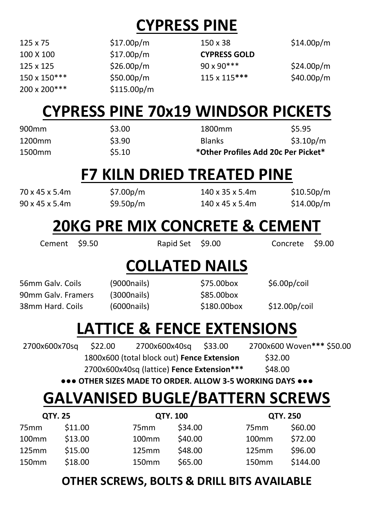# **CYPRESS PINE**

| $125 \times 75$ | \$17.00 <sub>p</sub> /m\$ | 150 x 38            | \$14.00 <sub>p</sub> /m |
|-----------------|---------------------------|---------------------|-------------------------|
| 100 X 100       | \$17.00 <sub>p</sub> /m   | <b>CYPRESS GOLD</b> |                         |
| 125 x 125       | \$26.00 <sub>p</sub> /m   | $90 \times 90***$   | \$24.00 <sub>p</sub> /m |
| 150 x 150***    | \$50.00 <sub>p</sub> /m   | $115 \times 115***$ | \$40.00 <sub>p</sub> /m |
| 200 x 200***    | \$115.00p/m               |                     |                         |

#### **CYPRESS PINE 70x19 WINDSOR PICKETS**

| 1500 <sub>mm</sub> | \$5.10 | *Other Profiles Add 20c Per Picket* |                        |
|--------------------|--------|-------------------------------------|------------------------|
| 1200mm             | \$3.90 | <b>Blanks</b>                       | \$3.10 <sub>p</sub> /m |
| 900 <sub>mm</sub>  | \$3.00 | 1800 <sub>mm</sub>                  | \$5.95                 |

#### **F7 KILN DRIED TREATED PINE**

70 x 45 x 5.4m \$7.00p/m 140 x 35 x 5.4m \$10.50p/m 90 x 45 x 5.4m \$9.50p/m 140 x 45 x 5.4m \$14.00p/m

#### **20KG PRE MIX CONCRETE & CEMENT**

Cement \$9.50 Rapid Set \$9.00 Concrete \$9.00

## **COLLATED NAILS**

56mm Galv. Coils (9000nails) \$75.00box \$6.00p/coil 90mm Galv. Framers (3000nails) \$85.00box 38mm Hard. Coils (6000nails) \$180.00box \$12.00p/coil

## **LATTICE & FENCE EXTENSIONS**

| 2700x600x70sq | \$22.00 | 2700x600x40sq                              | \$33.00 | 2700x600 Woven*** \$50.00 |  |
|---------------|---------|--------------------------------------------|---------|---------------------------|--|
|               |         | 1800x600 (total block out) Fence Extension |         | \$32.00                   |  |
|               |         | 2700x600x40sq (lattice) Fence Extension*** |         | \$48.00                   |  |

**●●● OTHER SIZES MADE TO ORDER. ALLOW 3-5 WORKING DAYS ●●●**

# **GALVANISED BUGLE/BATTERN SCREWS**

| <b>QTY. 25</b>    |         |                   | <b>QTY. 100</b> |                   | <b>QTY. 250</b> |  |
|-------------------|---------|-------------------|-----------------|-------------------|-----------------|--|
| 75 <sub>mm</sub>  | \$11.00 | 75 <sub>mm</sub>  | \$34.00         | 75 <sub>mm</sub>  | \$60.00         |  |
| 100 <sub>mm</sub> | \$13.00 | 100 <sub>mm</sub> | \$40.00         | 100 <sub>mm</sub> | \$72.00         |  |
| 125mm             | \$15.00 | 125mm             | \$48.00         | 125mm             | \$96.00         |  |
| 150mm             | \$18.00 | 150mm             | \$65.00         | 150mm             | \$144.00        |  |

#### **OTHER SCREWS, BOLTS & DRILL BITS AVAILABLE**